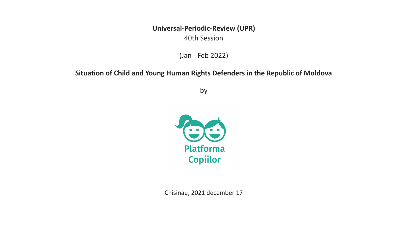**Universal-Periodic-Review (UPR)** 40th Session

(Jan - Feb 2022)

#### **Situation of Child and Young Human Rights Defenders in the Republic of Moldova**

by



Chisinau, 2021 december 17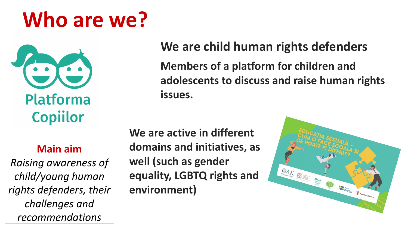# **Who are we?**



### **Main aim**

*Raising awareness of child/young human rights defenders, their challenges and recommendations* 

## **We are child human rights defenders**

**Members of a platform for children and adolescents to discuss and raise human rights issues.** 

**We are active in different domains and initiatives, as well (such as gender equality, LGBTQ rights and environment)**

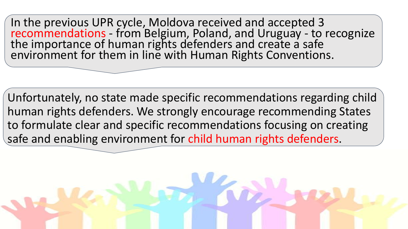In the previous UPR cycle, Moldova received and accepted 3 recommendations - from Belgium, Poland, and Uruguay - to recognize the importance of human rights defenders and create a safe environment for them in line with Human Rights Conventions.

Unfortunately, no state made specific recommendations regarding child human rights defenders. We strongly encourage recommending States to formulate clear and specific recommendations focusing on creating safe and enabling environment for child human rights defenders.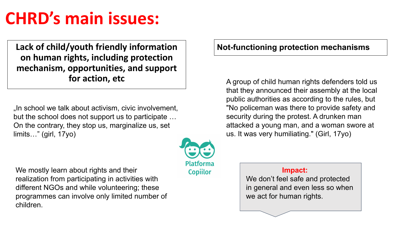# **CHRD's main issues:**

**Lack of child/youth friendly information on human rights, including protection mechanism, opportunities, and support for action, etc**

In school we talk about activism, civic involvement, but the school does not support us to participate … On the contrary, they stop us, marginalize us, set limits…" (girl, 17yo)

We mostly learn about rights and their realization from participating in activities with different NGOs and while volunteering; these programmes can involve only limited number of children.



A group of child human rights defenders told us that they announced their assembly at the local public authorities as according to the rules, but "No policeman was there to provide safety and security during the protest. A drunken man attacked a young man, and a woman swore at us. It was very humiliating." (Girl, 17yo)

 **Impact:** 

**Platforma** 

**Copiilor** 

We don't feel safe and protected in general and even less so when we act for human rights.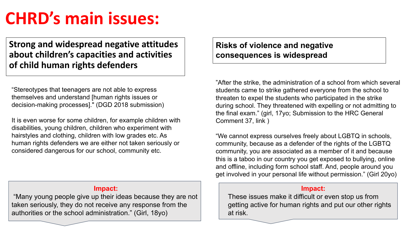## **CHRD's main issues:**

**Strong and widespread negative attitudes about children's capacities and activities of child human rights defenders**

"Stereotypes that teenagers are not able to express themselves and understand [human rights issues or decision-making processes]." (DGD 2018 submission)

It is even worse for some children, for example children with disabilities, young children, children who experiment with hairstyles and clothing, children with low grades etc. As human rights defenders we are either not taken seriously or considered dangerous for our school, community etc.

**Risks of violence and negative** 

**consequences is widespread**

"After the strike, the administration of a school from which several students came to strike gathered everyone from the school to threaten to expel the students who participated in the strike during school. They threatened with expelling or not admitting to the final exam." (girl, 17yo; Submission to the HRC General Comment 37, link )

"We cannot express ourselves freely about LGBTQ in schools, community, because as a defender of the rights of the LGBTQ community, you are associated as a member of it and because this is a taboo in our country you get exposed to bullying, online and offline, including form school staff. And, people around you get involved in your personal life without permission." (Girl 20yo)

#### **Impact:**

These issues make it difficult or even stop us from getting active for human rights and put our other rights at risk.

#### **Impact:**

 "Many young people give up their ideas because they are not taken seriously, they do not receive any response from the authorities or the school administration." (Girl, 18yo)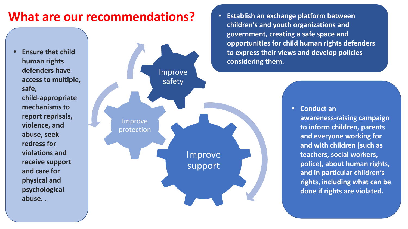## **What are our recommendations?**

**• Ensure that child human rights defenders have access to multiple, safe, child-appropriate mechanisms to report reprisals, violence, and abuse, seek redress for violations and receive support and care for physical and psychological abuse. .**



• **Establish an exchange platform between children's and youth organizations and government, creating a safe space and opportunities for child human rights defenders to express their views and develop policies considering them.** 

#### **• Conduct an**

**awareness-raising campaign to inform children, parents and everyone working for and with children (such as teachers, social workers, police), about human rights, and in particular children's rights, including what can be done if rights are violated.**